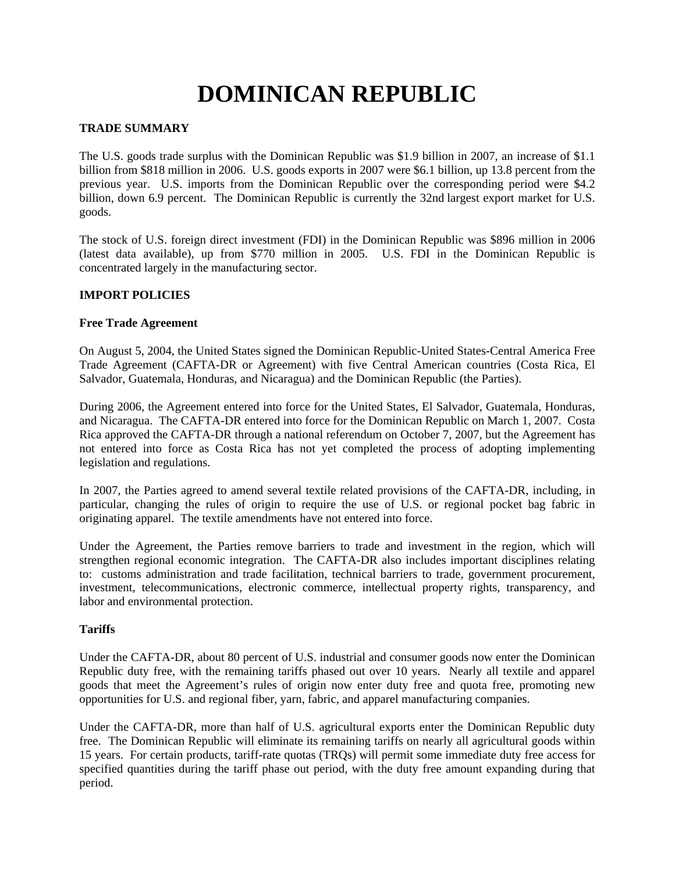# **DOMINICAN REPUBLIC**

# **TRADE SUMMARY**

The U.S. goods trade surplus with the Dominican Republic was \$1.9 billion in 2007, an increase of \$1.1 billion from \$818 million in 2006. U.S. goods exports in 2007 were \$6.1 billion, up 13.8 percent from the previous year. U.S. imports from the Dominican Republic over the corresponding period were \$4.2 billion, down 6.9 percent. The Dominican Republic is currently the 32nd largest export market for U.S. goods.

The stock of U.S. foreign direct investment (FDI) in the Dominican Republic was \$896 million in 2006 (latest data available), up from \$770 million in 2005. U.S. FDI in the Dominican Republic is concentrated largely in the manufacturing sector.

# **IMPORT POLICIES**

# **Free Trade Agreement**

On August 5, 2004, the United States signed the Dominican Republic-United States-Central America Free Trade Agreement (CAFTA-DR or Agreement) with five Central American countries (Costa Rica, El Salvador, Guatemala, Honduras, and Nicaragua) and the Dominican Republic (the Parties).

During 2006, the Agreement entered into force for the United States, El Salvador, Guatemala, Honduras, and Nicaragua. The CAFTA-DR entered into force for the Dominican Republic on March 1, 2007. Costa Rica approved the CAFTA-DR through a national referendum on October 7, 2007, but the Agreement has not entered into force as Costa Rica has not yet completed the process of adopting implementing legislation and regulations.

In 2007, the Parties agreed to amend several textile related provisions of the CAFTA-DR, including, in particular, changing the rules of origin to require the use of U.S. or regional pocket bag fabric in originating apparel. The textile amendments have not entered into force.

Under the Agreement, the Parties remove barriers to trade and investment in the region, which will strengthen regional economic integration. The CAFTA-DR also includes important disciplines relating to: customs administration and trade facilitation, technical barriers to trade, government procurement, investment, telecommunications, electronic commerce, intellectual property rights, transparency, and labor and environmental protection.

# **Tariffs**

Under the CAFTA-DR, about 80 percent of U.S. industrial and consumer goods now enter the Dominican Republic duty free, with the remaining tariffs phased out over 10 years. Nearly all textile and apparel goods that meet the Agreement's rules of origin now enter duty free and quota free, promoting new opportunities for U.S. and regional fiber, yarn, fabric, and apparel manufacturing companies.

Under the CAFTA-DR, more than half of U.S. agricultural exports enter the Dominican Republic duty free. The Dominican Republic will eliminate its remaining tariffs on nearly all agricultural goods within 15 years. For certain products, tariff-rate quotas (TRQs) will permit some immediate duty free access for specified quantities during the tariff phase out period, with the duty free amount expanding during that period.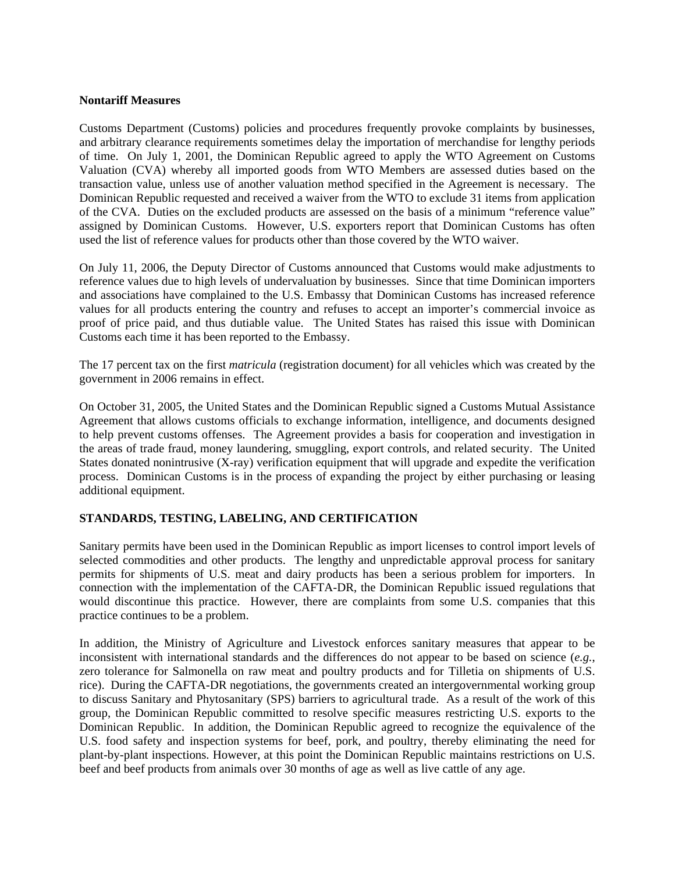#### **Nontariff Measures**

Customs Department (Customs) policies and procedures frequently provoke complaints by businesses, and arbitrary clearance requirements sometimes delay the importation of merchandise for lengthy periods of time. On July 1, 2001, the Dominican Republic agreed to apply the WTO Agreement on Customs Valuation (CVA) whereby all imported goods from WTO Members are assessed duties based on the transaction value, unless use of another valuation method specified in the Agreement is necessary. The Dominican Republic requested and received a waiver from the WTO to exclude 31 items from application of the CVA. Duties on the excluded products are assessed on the basis of a minimum "reference value" assigned by Dominican Customs. However, U.S. exporters report that Dominican Customs has often used the list of reference values for products other than those covered by the WTO waiver.

On July 11, 2006, the Deputy Director of Customs announced that Customs would make adjustments to reference values due to high levels of undervaluation by businesses. Since that time Dominican importers and associations have complained to the U.S. Embassy that Dominican Customs has increased reference values for all products entering the country and refuses to accept an importer's commercial invoice as proof of price paid, and thus dutiable value. The United States has raised this issue with Dominican Customs each time it has been reported to the Embassy.

The 17 percent tax on the first *matricula* (registration document) for all vehicles which was created by the government in 2006 remains in effect.

On October 31, 2005, the United States and the Dominican Republic signed a Customs Mutual Assistance Agreement that allows customs officials to exchange information, intelligence, and documents designed to help prevent customs offenses. The Agreement provides a basis for cooperation and investigation in the areas of trade fraud, money laundering, smuggling, export controls, and related security. The United States donated nonintrusive (X-ray) verification equipment that will upgrade and expedite the verification process. Dominican Customs is in the process of expanding the project by either purchasing or leasing additional equipment.

# **STANDARDS, TESTING, LABELING, AND CERTIFICATION**

Sanitary permits have been used in the Dominican Republic as import licenses to control import levels of selected commodities and other products. The lengthy and unpredictable approval process for sanitary permits for shipments of U.S. meat and dairy products has been a serious problem for importers. In connection with the implementation of the CAFTA-DR, the Dominican Republic issued regulations that would discontinue this practice. However, there are complaints from some U.S. companies that this practice continues to be a problem.

In addition, the Ministry of Agriculture and Livestock enforces sanitary measures that appear to be inconsistent with international standards and the differences do not appear to be based on science (*e.g.*, zero tolerance for Salmonella on raw meat and poultry products and for Tilletia on shipments of U.S. rice). During the CAFTA-DR negotiations, the governments created an intergovernmental working group to discuss Sanitary and Phytosanitary (SPS) barriers to agricultural trade. As a result of the work of this group, the Dominican Republic committed to resolve specific measures restricting U.S. exports to the Dominican Republic. In addition, the Dominican Republic agreed to recognize the equivalence of the U.S. food safety and inspection systems for beef, pork, and poultry, thereby eliminating the need for plant-by-plant inspections. However, at this point the Dominican Republic maintains restrictions on U.S. beef and beef products from animals over 30 months of age as well as live cattle of any age.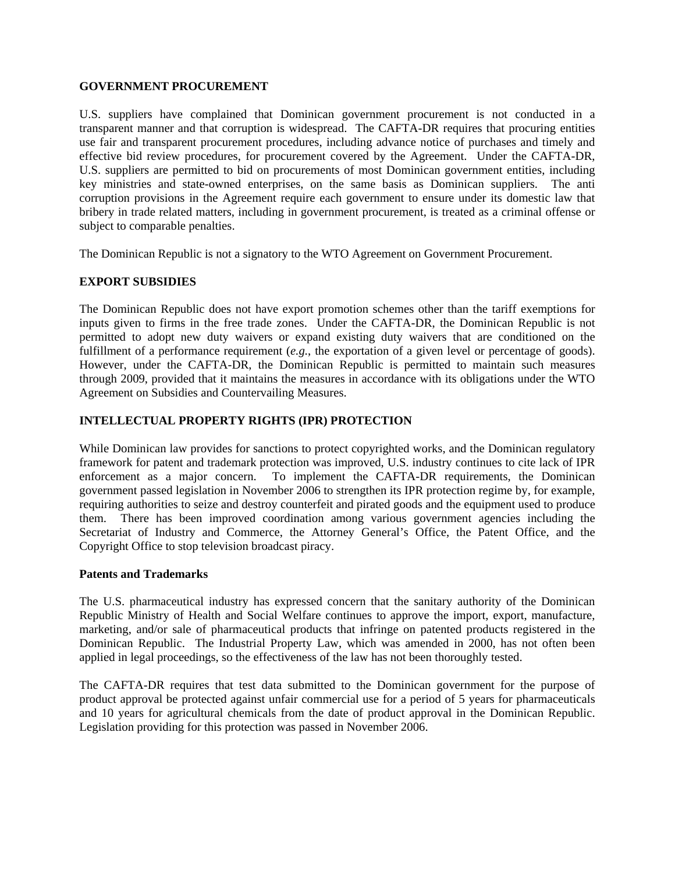#### **GOVERNMENT PROCUREMENT**

U.S. suppliers have complained that Dominican government procurement is not conducted in a transparent manner and that corruption is widespread. The CAFTA-DR requires that procuring entities use fair and transparent procurement procedures, including advance notice of purchases and timely and effective bid review procedures, for procurement covered by the Agreement. Under the CAFTA-DR, U.S. suppliers are permitted to bid on procurements of most Dominican government entities, including key ministries and state-owned enterprises, on the same basis as Dominican suppliers. The anti corruption provisions in the Agreement require each government to ensure under its domestic law that bribery in trade related matters, including in government procurement, is treated as a criminal offense or subject to comparable penalties.

The Dominican Republic is not a signatory to the WTO Agreement on Government Procurement.

# **EXPORT SUBSIDIES**

The Dominican Republic does not have export promotion schemes other than the tariff exemptions for inputs given to firms in the free trade zones. Under the CAFTA-DR, the Dominican Republic is not permitted to adopt new duty waivers or expand existing duty waivers that are conditioned on the fulfillment of a performance requirement (*e.g.*, the exportation of a given level or percentage of goods). However, under the CAFTA-DR, the Dominican Republic is permitted to maintain such measures through 2009, provided that it maintains the measures in accordance with its obligations under the WTO Agreement on Subsidies and Countervailing Measures.

# **INTELLECTUAL PROPERTY RIGHTS (IPR) PROTECTION**

While Dominican law provides for sanctions to protect copyrighted works, and the Dominican regulatory framework for patent and trademark protection was improved, U.S. industry continues to cite lack of IPR enforcement as a major concern. To implement the CAFTA-DR requirements, the Dominican government passed legislation in November 2006 to strengthen its IPR protection regime by, for example, requiring authorities to seize and destroy counterfeit and pirated goods and the equipment used to produce them. There has been improved coordination among various government agencies including the Secretariat of Industry and Commerce, the Attorney General's Office, the Patent Office, and the Copyright Office to stop television broadcast piracy.

#### **Patents and Trademarks**

The U.S. pharmaceutical industry has expressed concern that the sanitary authority of the Dominican Republic Ministry of Health and Social Welfare continues to approve the import, export, manufacture, marketing, and/or sale of pharmaceutical products that infringe on patented products registered in the Dominican Republic. The Industrial Property Law, which was amended in 2000, has not often been applied in legal proceedings, so the effectiveness of the law has not been thoroughly tested.

The CAFTA-DR requires that test data submitted to the Dominican government for the purpose of product approval be protected against unfair commercial use for a period of 5 years for pharmaceuticals and 10 years for agricultural chemicals from the date of product approval in the Dominican Republic. Legislation providing for this protection was passed in November 2006.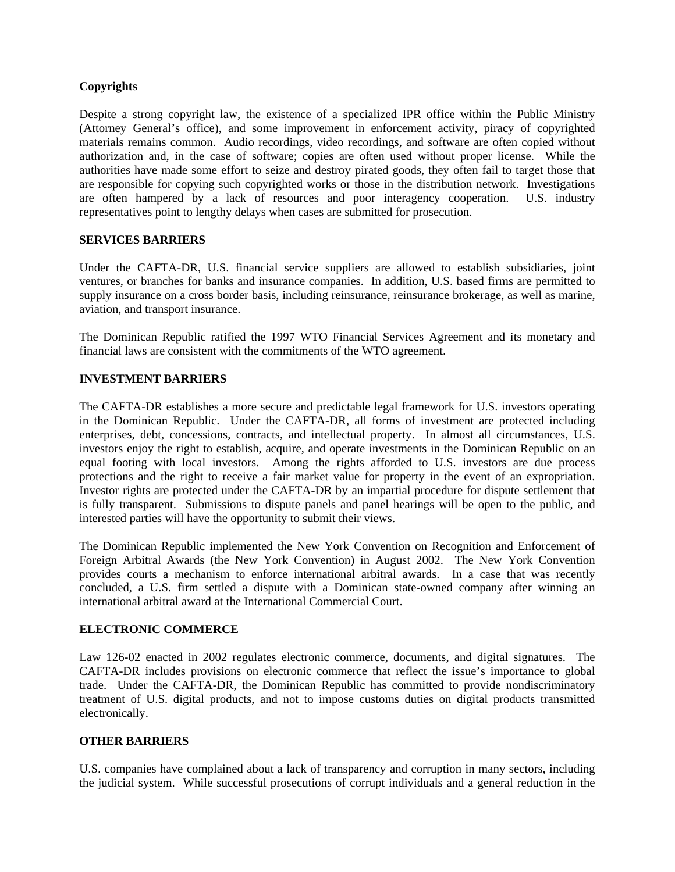# **Copyrights**

Despite a strong copyright law, the existence of a specialized IPR office within the Public Ministry (Attorney General's office), and some improvement in enforcement activity, piracy of copyrighted materials remains common. Audio recordings, video recordings, and software are often copied without authorization and, in the case of software; copies are often used without proper license. While the authorities have made some effort to seize and destroy pirated goods, they often fail to target those that are responsible for copying such copyrighted works or those in the distribution network. Investigations are often hampered by a lack of resources and poor interagency cooperation. U.S. industry representatives point to lengthy delays when cases are submitted for prosecution.

# **SERVICES BARRIERS**

Under the CAFTA-DR, U.S. financial service suppliers are allowed to establish subsidiaries, joint ventures, or branches for banks and insurance companies. In addition, U.S. based firms are permitted to supply insurance on a cross border basis, including reinsurance, reinsurance brokerage, as well as marine, aviation, and transport insurance.

The Dominican Republic ratified the 1997 WTO Financial Services Agreement and its monetary and financial laws are consistent with the commitments of the WTO agreement.

# **INVESTMENT BARRIERS**

The CAFTA-DR establishes a more secure and predictable legal framework for U.S. investors operating in the Dominican Republic. Under the CAFTA-DR, all forms of investment are protected including enterprises, debt, concessions, contracts, and intellectual property. In almost all circumstances, U.S. investors enjoy the right to establish, acquire, and operate investments in the Dominican Republic on an equal footing with local investors. Among the rights afforded to U.S. investors are due process protections and the right to receive a fair market value for property in the event of an expropriation. Investor rights are protected under the CAFTA-DR by an impartial procedure for dispute settlement that is fully transparent. Submissions to dispute panels and panel hearings will be open to the public, and interested parties will have the opportunity to submit their views.

The Dominican Republic implemented the New York Convention on Recognition and Enforcement of Foreign Arbitral Awards (the New York Convention) in August 2002. The New York Convention provides courts a mechanism to enforce international arbitral awards. In a case that was recently concluded, a U.S. firm settled a dispute with a Dominican state-owned company after winning an international arbitral award at the International Commercial Court.

# **ELECTRONIC COMMERCE**

Law 126-02 enacted in 2002 regulates electronic commerce, documents, and digital signatures. The CAFTA-DR includes provisions on electronic commerce that reflect the issue's importance to global trade. Under the CAFTA-DR, the Dominican Republic has committed to provide nondiscriminatory treatment of U.S. digital products, and not to impose customs duties on digital products transmitted electronically.

# **OTHER BARRIERS**

U.S. companies have complained about a lack of transparency and corruption in many sectors, including the judicial system. While successful prosecutions of corrupt individuals and a general reduction in the